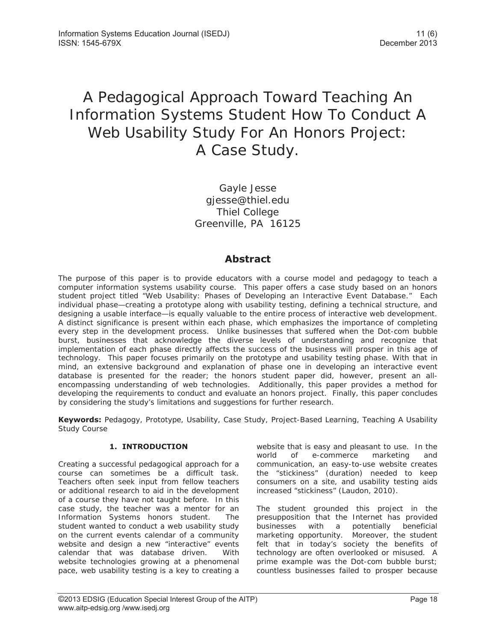# A Pedagogical Approach Toward Teaching An Information Systems Student How To Conduct A Web Usability Study For An Honors Project: A Case Study.

Gayle Jesse gjesse@thiel.edu Thiel College Greenville, PA 16125

## **Abstract**

The purpose of this paper is to provide educators with a course model and pedagogy to teach a computer information systems usability course. This paper offers a case study based on an honors student project titled "Web Usability: Phases of Developing an Interactive Event Database." Each individual phase—creating a prototype along with usability testing, defining a technical structure, and designing a usable interface—is equally valuable to the entire process of interactive web development. A distinct significance is present within each phase, which emphasizes the importance of completing every step in the development process. Unlike businesses that suffered when the Dot-com bubble burst, businesses that acknowledge the diverse levels of understanding and recognize that implementation of each phase directly affects the success of the business will prosper in this age of technology. This paper focuses primarily on the prototype and usability testing phase. With that in mind, an extensive background and explanation of phase one in developing an interactive event database is presented for the reader; the honors student paper did, however, present an allencompassing understanding of web technologies. Additionally, this paper provides a method for developing the requirements to conduct and evaluate an honors project. Finally, this paper concludes by considering the study's limitations and suggestions for further research.

**Keywords:** Pedagogy, Prototype, Usability, Case Study, Project-Based Learning, Teaching A Usability Study Course

## **1. INTRODUCTION**

Creating a successful pedagogical approach for a course can sometimes be a difficult task. Teachers often seek input from fellow teachers or additional research to aid in the development of a course they have not taught before. In this case study, the teacher was a mentor for an Information Systems honors student. The student wanted to conduct a web usability study on the current events calendar of a community website and design a new "interactive" events calendar that was database driven. With website technologies growing at a phenomenal pace, web usability testing is a key to creating a

website that is easy and pleasant to use. In the world of e-commerce marketing and communication, an easy-to-use website creates the "stickiness" (duration) needed to keep consumers on a site, and usability testing aids increased "stickiness" (Laudon, 2010).

The student grounded this project in the presupposition that the Internet has provided businesses with a potentially beneficial marketing opportunity. Moreover, the student felt that in today's society the benefits of technology are often overlooked or misused. A prime example was the Dot-com bubble burst; countless businesses failed to prosper because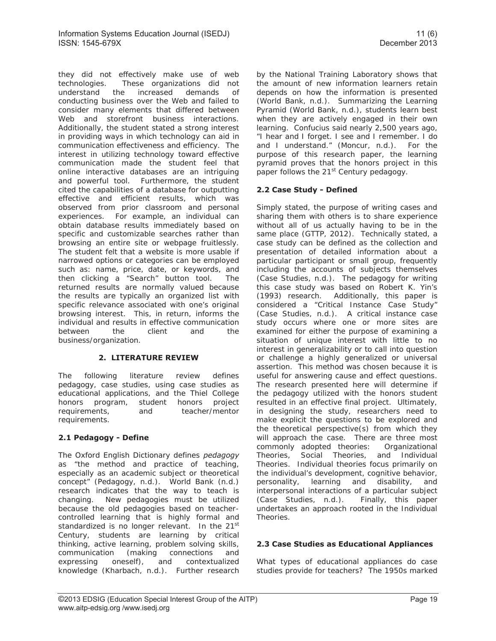they did not effectively make use of web technologies. These organizations did not understand the increased demands of conducting business over the Web and failed to consider many elements that differed between Web and storefront business interactions. Additionally, the student stated a strong interest in providing ways in which technology can aid in communication effectiveness and efficiency. The interest in utilizing technology toward effective communication made the student feel that online interactive databases are an intriguing and powerful tool. Furthermore, the student cited the capabilities of a database for outputting effective and efficient results, which was observed from prior classroom and personal experiences. For example, an individual can obtain database results immediately based on specific and customizable searches rather than browsing an entire site or webpage fruitlessly. The student felt that a website is more usable if narrowed options or categories can be employed such as: name, price, date, or keywords, and then clicking a "Search" button tool. The returned results are normally valued because the results are typically an organized list with specific relevance associated with one's original browsing interest. This, in return, informs the individual and results in effective communication between the client and the business/organization.

## **2. LITERATURE REVIEW**

The following literature review defines pedagogy, case studies, using case studies as educational applications, and the Thiel College honors program, student honors project requirements, and teacher/mentor requirements.

## **2.1 Pedagogy - Define**

The Oxford English Dictionary defines *pedagogy*  as "the method and practice of teaching, especially as an academic subject or theoretical concept" (Pedagogy, n.d.). World Bank (n.d.) research indicates that the way to teach is changing. New pedagogies must be utilized because the old pedagogies based on teachercontrolled learning that is highly formal and standardized is no longer relevant. In the 21<sup>st</sup> Century, students are learning by critical thinking, active learning, problem solving skills, communication (making connections and expressing oneself), and contextualized knowledge (Kharbach, n.d.). Further research

by the National Training Laboratory shows that the amount of new information learners retain depends on how the information is presented (World Bank, n.d.). Summarizing the Learning Pyramid (World Bank, n.d.), students learn best when they are actively engaged in their own learning. Confucius said nearly 2,500 years ago, "I hear and I forget. I see and I remember. I do and I understand." (Moncur, n.d.). For the purpose of this research paper, the learning pyramid proves that the honors project in this paper follows the 21<sup>st</sup> Century pedagogy.

## **2.2 Case Study - Defined**

Simply stated, the purpose of writing cases and sharing them with others is to share experience without all of us actually having to be in the same place (GTTP, 2012). Technically stated, a case study can be defined as the collection and presentation of detailed information about a particular participant or small group, frequently including the accounts of subjects themselves (Case Studies, n.d.). The pedagogy for writing this case study was based on Robert K. Yin's (1993) research. Additionally, this paper is considered a "Critical Instance Case Study" (Case Studies, n.d.). A critical instance case study occurs where one or more sites are examined for either the purpose of examining a situation of unique interest with little to no interest in generalizability or to call into question or challenge a highly generalized or universal assertion. This method was chosen because it is useful for answering cause and effect questions. The research presented here will determine if the pedagogy utilized with the honors student resulted in an effective final project. Ultimately, in designing the study, researchers need to make explicit the questions to be explored and the theoretical perspective(s) from which they will approach the case. There are three most commonly adopted theories: Organizational Theories, Social Theories, and Individual Theories. Individual theories focus primarily on the individual's development, cognitive behavior, personality, learning and disability, and interpersonal interactions of a particular subject (Case Studies, n.d.). Finally, this paper undertakes an approach rooted in the Individual Theories.

## **2.3 Case Studies as Educational Appliances**

What types of educational appliances do case studies provide for teachers? The 1950s marked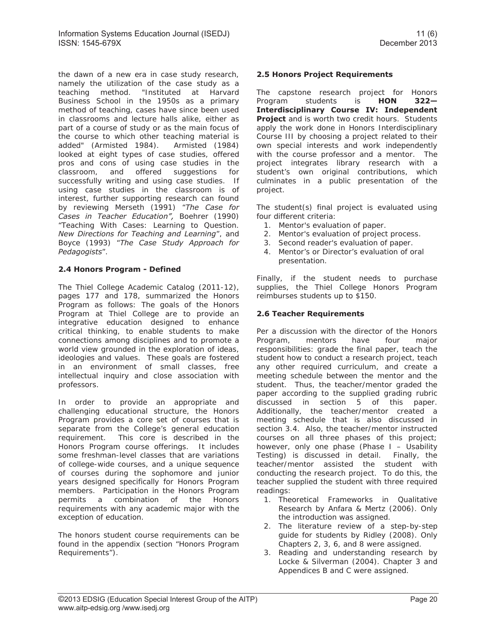the dawn of a new era in case study research, namely the utilization of the case study as a teaching method. "Instituted at Harvard Business School in the 1950s as a primary method of teaching, cases have since been used in classrooms and lecture halls alike, either as part of a course of study or as the main focus of the course to which other teaching material is added" (Armisted 1984). Armisted (1984) looked at eight types of case studies, offered pros and cons of using case studies in the classroom, and offered suggestions for successfully writing and using case studies. If using case studies in the classroom is of interest, further supporting research can found by reviewing Merseth (1991) "*The Case for Cases in Teacher Education",* Boehrer (1990) "Teaching With Cases: Learning to Question. *New Directions for Teaching and Learning*", and Boyce (1993) "*The Case Study Approach for Pedagogists*".

## **2.4 Honors Program - Defined**

The Thiel College Academic Catalog (2011-12), pages 177 and 178, summarized the Honors Program as follows: The goals of the Honors Program at Thiel College are to provide an integrative education designed to enhance critical thinking, to enable students to make connections among disciplines and to promote a world view grounded in the exploration of ideas, ideologies and values. These goals are fostered in an environment of small classes, free intellectual inquiry and close association with professors.

In order to provide an appropriate and challenging educational structure, the Honors Program provides a core set of courses that is separate from the College's general education requirement. This core is described in the Honors Program course offerings. It includes some freshman-level classes that are variations of college-wide courses, and a unique sequence of courses during the sophomore and junior years designed specifically for Honors Program members. Participation in the Honors Program permits a combination of the Honors requirements with any academic major with the exception of education.

The honors student course requirements can be found in the appendix (section "Honors Program Requirements").

## **2.5 Honors Project Requirements**

The capstone research project for Honors Program students is **HON 322— Interdisciplinary Course IV: Independent Project** and is worth two credit hours. Students apply the work done in Honors Interdisciplinary Course III by choosing a project related to their own special interests and work independently with the course professor and a mentor. The project integrates library research with a student's own original contributions, which culminates in a public presentation of the project.

The student(s) final project is evaluated using four different criteria:

- 1. Mentor's evaluation of paper.
- 2. Mentor's evaluation of project process.
- 3. Second reader's evaluation of paper.
- 4. Mentor's or Director's evaluation of oral presentation.

Finally, if the student needs to purchase supplies, the Thiel College Honors Program reimburses students up to \$150.

## **2.6 Teacher Requirements**

Per a discussion with the director of the Honors Program, mentors have four major responsibilities: grade the final paper, teach the student how to conduct a research project, teach any other required curriculum, and create a meeting schedule between the mentor and the student. Thus, the teacher/mentor graded the paper according to the supplied grading rubric discussed in section 5 of this paper. Additionally, the teacher/mentor created a meeting schedule that is also discussed in section 3.4. Also, the teacher/mentor instructed courses on all three phases of this project; however, only one phase (Phase I – Usability Testing) is discussed in detail. Finally, the teacher/mentor assisted the student with conducting the research project. To do this, the teacher supplied the student with three required readings:

- 1. Theoretical Frameworks in Qualitative Research by Anfara & Mertz (2006). Only the introduction was assigned.
- 2. The literature review of a step-by-step guide for students by Ridley (2008). Only Chapters 2, 3, 6, and 8 were assigned.
- 3. Reading and understanding research by Locke & Silverman (2004). Chapter 3 and Appendices B and C were assigned.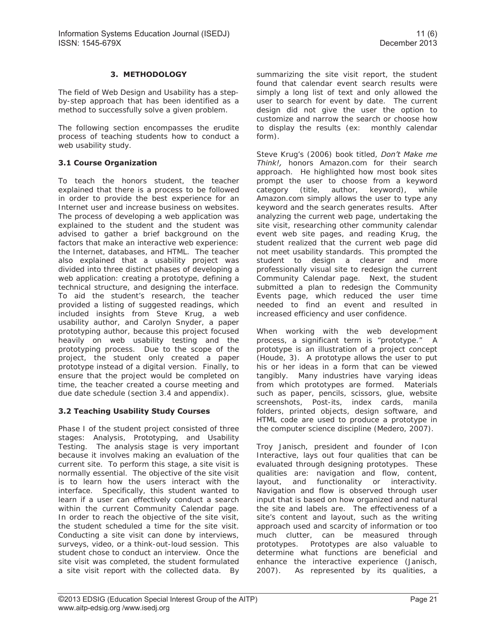## **3. METHODOLOGY**

The field of Web Design and Usability has a stepby-step approach that has been identified as a method to successfully solve a given problem.

The following section encompasses the erudite process of teaching students how to conduct a web usability study.

## **3.1 Course Organization**

To teach the honors student, the teacher explained that there is a process to be followed in order to provide the best experience for an Internet user and increase business on websites. The process of developing a web application was explained to the student and the student was advised to gather a brief background on the factors that make an interactive web experience: the Internet, databases, and HTML. The teacher also explained that a usability project was divided into three distinct phases of developing a web application: creating a prototype, defining a technical structure, and designing the interface. To aid the student's research, the teacher provided a listing of suggested readings, which included insights from Steve Krug, a web usability author, and Carolyn Snyder, a paper prototyping author, because this project focused heavily on web usability testing and the prototyping process. Due to the scope of the project, the student only created a paper prototype instead of a digital version. Finally, to ensure that the project would be completed on time, the teacher created a course meeting and due date schedule (section 3.4 and appendix).

## **3.2 Teaching Usability Study Courses**

Phase I of the student project consisted of three stages: Analysis, Prototyping, and Usability Testing. The analysis stage is very important because it involves making an evaluation of the current site. To perform this stage, a site visit is normally essential. The objective of the site visit is to learn how the users interact with the interface. Specifically, this student wanted to learn if a user can effectively conduct a search within the current Community Calendar page. In order to reach the objective of the site visit, the student scheduled a time for the site visit. Conducting a site visit can done by interviews, surveys, video, or a think-out-loud session. This student chose to conduct an interview. Once the site visit was completed, the student formulated a site visit report with the collected data. By

summarizing the site visit report, the student found that calendar event search results were simply a long list of text and only allowed the user to search for event by date. The current design did not give the user the option to customize and narrow the search or choose how to display the results (ex: monthly calendar form).

Steve Krug's (2006) book titled, *Don't Make me Think!,* honors Amazon.com for their search approach. He highlighted how most book sites prompt the user to choose from a keyword category (title, author, keyword), while Amazon.com simply allows the user to type any keyword and the search generates results. After analyzing the current web page, undertaking the site visit, researching other community calendar event web site pages, and reading Krug, the student realized that the current web page did not meet usability standards. This prompted the student to design a clearer and more professionally visual site to redesign the current Community Calendar page. Next, the student submitted a plan to redesign the Community Events page, which reduced the user time needed to find an event and resulted in increased efficiency and user confidence.

When working with the web development process, a significant term is "prototype." A prototype is an illustration of a project concept (Houde, 3). A prototype allows the user to put his or her ideas in a form that can be viewed tangibly. Many industries have varying ideas from which prototypes are formed. Materials such as paper, pencils, scissors, glue, website screenshots, Post-its, index cards, manila folders, printed objects, design software, and HTML code are used to produce a prototype in the computer science discipline (Medero, 2007).

Troy Janisch, president and founder of Icon Interactive, lays out four qualities that can be evaluated through designing prototypes. These qualities are: navigation and flow, content, layout, and functionality or interactivity. Navigation and flow is observed through user input that is based on how organized and natural the site and labels are. The effectiveness of a site's content and layout, such as the writing approach used and scarcity of information or too much clutter, can be measured through prototypes. Prototypes are also valuable to determine what functions are beneficial and enhance the interactive experience (Janisch, 2007). As represented by its qualities, a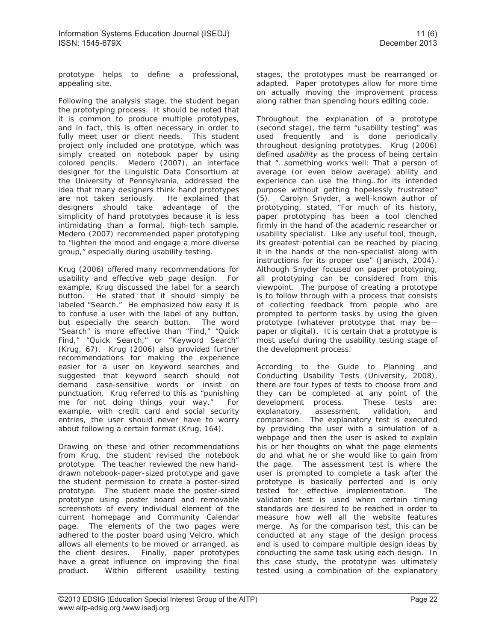prototype helps to define a professional, appealing site.

Following the analysis stage, the student began the prototyping process. It should be noted that it is common to produce multiple prototypes, and in fact, this is often necessary in order to fully meet user or client needs. This student project only included one prototype, which was simply created on notebook paper by using colored pencils. Medero (2007), an interface designer for the Linguistic Data Consortium at the University of Pennsylvania, addressed the idea that many designers think hand prototypes are not taken seriously. He explained that designers should take advantage of the simplicity of hand prototypes because it is less intimidating than a formal, high-tech sample. Medero (2007) recommended paper prototyping to "lighten the mood and engage a more diverse group," especially during usability testing.

Krug (2006) offered many recommendations for usability and effective web page design. For example, Krug discussed the label for a search button. He stated that it should simply be labeled "Search." He emphasized how easy it is to confuse a user with the label of any button, but especially the search button. The word "Search" is more effective than "Find," "Quick Find," "Quick Search," or "Keyword Search" (Krug, 67). Krug (2006) also provided further recommendations for making the experience easier for a user on keyword searches and suggested that keyword search should not demand case-sensitive words or insist on punctuation. Krug referred to this as "punishing me for not doing things your way." For example, with credit card and social security entries, the user should never have to worry about following a certain format (Krug, 164).

Drawing on these and other recommendations from Krug, the student revised the notebook prototype. The teacher reviewed the new handdrawn notebook-paper-sized prototype and gave the student permission to create a poster-sized prototype. The student made the poster-sized prototype using poster board and removable screenshots of every individual element of the current homepage and Community Calendar page. The elements of the two pages were adhered to the poster board using Velcro, which allows all elements to be moved or arranged, as the client desires. Finally, paper prototypes have a great influence on improving the final product. Within different usability testing

stages, the prototypes must be rearranged or adapted. Paper prototypes allow for more time on actually moving the improvement process along rather than spending hours editing code.

Throughout the explanation of a prototype (second stage), the term "usability testing" was used frequently and is done periodically throughout designing prototypes. Krug (2006) defined *usability* as the process of being certain that "…something works well: That a person of average (or even below average) ability and experience can use the thing…for its intended purpose without getting hopelessly frustrated" (5). Carolyn Snyder, a well-known author of prototyping, stated, "For much of its history, paper prototyping has been a tool clenched firmly in the hand of the academic researcher or usability specialist. Like any useful tool, though, its greatest potential can be reached by placing it in the hands of the non-specialist along with instructions for its proper use" (Janisch, 2004). Although Snyder focused on paper prototyping, all prototyping can be considered from this viewpoint. The purpose of creating a prototype is to follow through with a process that consists of collecting feedback from people who are prompted to perform tasks by using the given prototype (whatever prototype that may be paper or digital). It is certain that a prototype is most useful during the usability testing stage of the development process.

According to the Guide to Planning and Conducting Usability Tests (University, 2008), there are four types of tests to choose from and they can be completed at any point of the development process. These tests are: development process. explanatory, assessment, validation, and comparison. The explanatory test is executed by providing the user with a simulation of a webpage and then the user is asked to explain his or her thoughts on what the page elements do and what he or she would like to gain from the page. The assessment test is where the user is prompted to complete a task after the prototype is basically perfected and is only tested for effective implementation. The validation test is used when certain timing standards are desired to be reached in order to measure how well all the website features merge. As for the comparison test, this can be conducted at any stage of the design process and is used to compare multiple design ideas by conducting the same task using each design. In this case study, the prototype was ultimately tested using a combination of the explanatory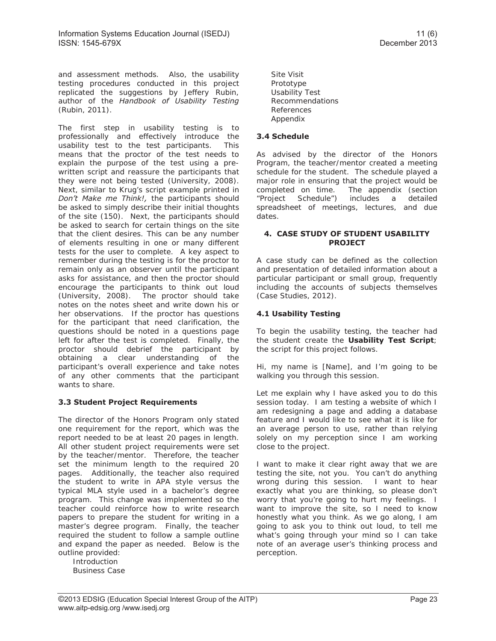and assessment methods. Also, the usability testing procedures conducted in this project replicated the suggestions by Jeffery Rubin, author of the *Handbook of Usability Testing* (Rubin, 2011).

The first step in usability testing is to professionally and effectively introduce the usability test to the test participants. This means that the proctor of the test needs to explain the purpose of the test using a prewritten script and reassure the participants that they were not being tested (University, 2008). Next, similar to Krug's script example printed in *Don't Make me Think!,* the participants should be asked to simply describe their initial thoughts of the site (150). Next, the participants should be asked to search for certain things on the site that the client desires. This can be any number of elements resulting in one or many different tests for the user to complete. A key aspect to remember during the testing is for the proctor to remain only as an observer until the participant asks for assistance, and then the proctor should encourage the participants to think out loud (University, 2008). The proctor should take notes on the notes sheet and write down his or her observations. If the proctor has questions for the participant that need clarification, the questions should be noted in a questions page left for after the test is completed. Finally, the proctor should debrief the participant by obtaining a clear understanding of the participant's overall experience and take notes of any other comments that the participant wants to share.

## **3.3 Student Project Requirements**

The director of the Honors Program only stated one requirement for the report, which was the report needed to be at least 20 pages in length. All other student project requirements were set by the teacher/mentor. Therefore, the teacher set the minimum length to the required 20 pages. Additionally, the teacher also required the student to write in APA style versus the typical MLA style used in a bachelor's degree program. This change was implemented so the teacher could reinforce how to write research papers to prepare the student for writing in a master's degree program. Finally, the teacher required the student to follow a sample outline and expand the paper as needed. Below is the outline provided:

Introduction Business Case Site Visit Prototype Usability Test Recommendations References Appendix

#### **3.4 Schedule**

As advised by the director of the Honors Program, the teacher/mentor created a meeting schedule for the student. The schedule played a major role in ensuring that the project would be completed on time. The appendix (section "Project Schedule") includes a detailed spreadsheet of meetings, lectures, and due dates.

#### **4. CASE STUDY OF STUDENT USABILITY PROJECT**

A case study can be defined as the collection and presentation of detailed information about a particular participant or small group, frequently including the accounts of subjects themselves (Case Studies, 2012).

## **4.1 Usability Testing**

To begin the usability testing, the teacher had the student create the **Usability Test Script**; the script for this project follows.

Hi, my name is [Name], and I'm going to be walking you through this session.

Let me explain why I have asked you to do this session today. I am testing a website of which I am redesigning a page and adding a database feature and I would like to see what it is like for an average person to use, rather than relying solely on my perception since I am working close to the project.

I want to make it clear right away that we are testing the site, not you. You can't do anything wrong during this session. I want to hear exactly what you are thinking, so please don't worry that you're going to hurt my feelings. I want to improve the site, so I need to know honestly what you think. As we go along, I am going to ask you to think out loud, to tell me what's going through your mind so I can take note of an average user's thinking process and perception.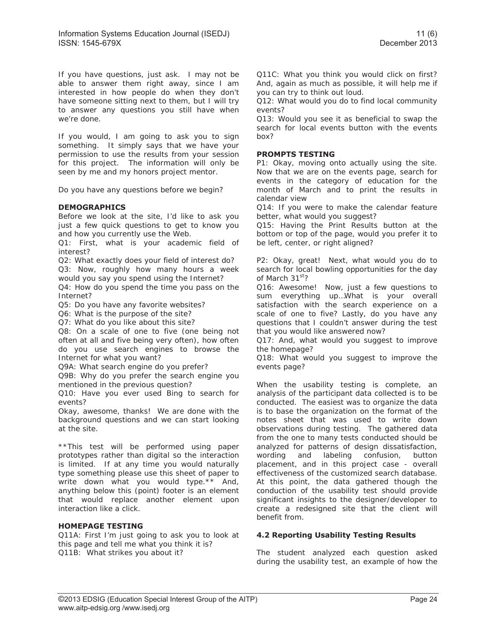If you have questions, just ask. I may not be able to answer them right away, since I am interested in how people do when they don't have someone sitting next to them, but I will try to answer any questions you still have when we're done.

If you would, I am going to ask you to sign something. It simply says that we have your permission to use the results from your session for this project. The information will only be seen by me and my honors project mentor.

Do you have any questions before we begin?

#### **DEMOGRAPHICS**

Before we look at the site, I'd like to ask you just a few quick questions to get to know you and how you currently use the Web.

Q1: First, what is your academic field of interest?

Q2: What exactly does your field of interest do? Q3: Now, roughly how many hours a week would you say you spend using the Internet?

Q4: How do you spend the time you pass on the Internet?

Q5: Do you have any favorite websites?

Q6: What is the purpose of the site?

Q7: What do you like about this site?

Q8: On a scale of one to five (one being not often at all and five being very often), how often do you use search engines to browse the Internet for what you want?

Q9A: What search engine do you prefer?

Q9B: Why do you prefer the search engine you mentioned in the previous question?

Q10: Have you ever used Bing to search for events?

Okay, awesome, thanks! We are done with the background questions and we can start looking at the site.

\*\*This test will be performed using paper prototypes rather than digital so the interaction is limited. If at any time you would naturally type something please use this sheet of paper to write down what you would type.\*\* And, anything below this (point) footer is an element that would replace another element upon interaction like a click.

#### **HOMEPAGE TESTING**

Q11A: First I'm just going to ask you to look at this page and tell me what you think it is? Q11B: What strikes you about it?

Q11C: What you think you would click on first? And, again as much as possible, it will help me if you can try to think out loud.

Q12: What would you do to find local community events?

Q13: Would you see it as beneficial to swap the search for local events button with the events box?

#### **PROMPTS TESTING**

P1: Okay, moving onto actually using the site. Now that we are on the events page, search for events in the category of education for the month of March and to print the results in calendar view

Q14: If you were to make the calendar feature better, what would you suggest?

Q15: Having the Print Results button at the bottom or top of the page, would you prefer it to be left, center, or right aligned?

P2: Okay, great! Next, what would you do to search for local bowling opportunities for the day of March 31<sup>st</sup>?

Q16: Awesome! Now, just a few questions to sum everything up…What is your overall satisfaction with the search experience on a scale of one to five? Lastly, do you have any questions that I couldn't answer during the test that you would like answered now?

Q17: And, what would you suggest to improve the homepage?

Q18: What would you suggest to improve the events page?

When the usability testing is complete, an analysis of the participant data collected is to be conducted. The easiest was to organize the data is to base the organization on the format of the notes sheet that was used to write down observations during testing. The gathered data from the one to many tests conducted should be analyzed for patterns of design dissatisfaction, wording and labeling confusion, button placement, and in this project case - overall effectiveness of the customized search database. At this point, the data gathered though the conduction of the usability test should provide significant insights to the designer/developer to create a redesigned site that the client will benefit from.

#### **4.2 Reporting Usability Testing Results**

The student analyzed each question asked during the usability test, an example of how the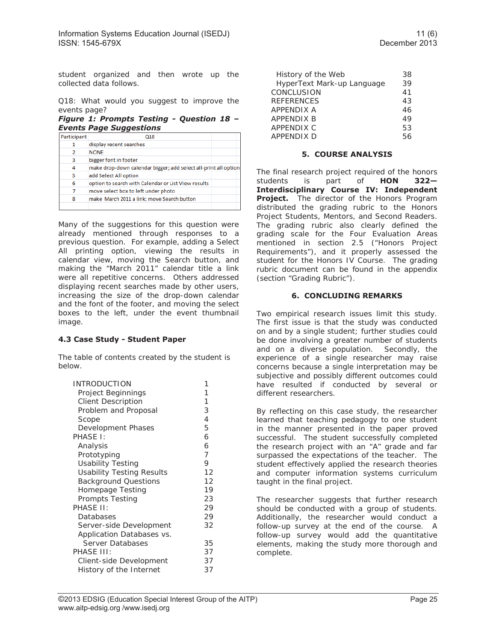student organized and then wrote up the collected data follows.

Q18: What would you suggest to improve the events page?

*Figure 1: Prompts Testing - Question 18 – Events Page Suggestions* 

| Participant | Q18                                                             |  |
|-------------|-----------------------------------------------------------------|--|
| 1           | display recent searches                                         |  |
| 2           | <b>NONE</b>                                                     |  |
| 3           | bigger font in footer                                           |  |
| 4           | make drop-down calendar bigger; add select all-print all option |  |
| 5           | add Select All option                                           |  |
| 6           | option to search with Calendar or List View results             |  |
| 7           | move select box to left under photo                             |  |
| 8           | make March 2011 a link; move Search button                      |  |
|             |                                                                 |  |

Many of the suggestions for this question were already mentioned through responses to a previous question. For example, adding a Select All printing option, viewing the results in calendar view, moving the Search button, and making the "March 2011" calendar title a link were all repetitive concerns. Others addressed displaying recent searches made by other users, increasing the size of the drop-down calendar and the font of the footer, and moving the select boxes to the left, under the event thumbnail image.

## **4.3 Case Study - Student Paper**

The table of contents created by the student is below.

| <b>INTRODUCTION</b>              | 1  |
|----------------------------------|----|
| Project Beginnings               | 1  |
| <b>Client Description</b>        | 1  |
| Problem and Proposal             | 3  |
| Scope                            | 4  |
| Development Phases               | 5  |
| PHASE 1:                         | 6  |
| Analysis                         | 6  |
| Prototyping                      | 7  |
| <b>Usability Testing</b>         | 9  |
| <b>Usability Testing Results</b> | 12 |
| <b>Background Questions</b>      | 12 |
| Homepage Testing                 | 19 |
| Prompts Testing                  | 23 |
| PHASE II:                        | 29 |
| Databases                        | 29 |
| Server-side Development          | 32 |
| Application Databases vs.        |    |
| Server Databases                 | 35 |
| PHASE III:                       | 37 |
| Client-side Development          | 37 |
| History of the Internet          | 37 |
|                                  |    |

| History of the Web         | 38 |
|----------------------------|----|
| HyperText Mark-up Language | 39 |
| CONCLUSION                 | 41 |
| <b>REFERENCES</b>          | 43 |
| <b>APPENDIX A</b>          | 46 |
| <b>APPENDIX B</b>          | 49 |
| APPENDIX C                 | 53 |
| <b>APPENDIX D</b>          | 56 |

#### **5. COURSE ANALYSIS**

The final research project required of the honors students is part of **HON 322— Interdisciplinary Course IV: Independent Project.** The director of the Honors Program distributed the grading rubric to the Honors Project Students, Mentors, and Second Readers. The grading rubric also clearly defined the grading scale for the Four Evaluation Areas mentioned in section 2.5 ("Honors Project Requirements"), and it properly assessed the student for the Honors IV Course. The grading rubric document can be found in the appendix (section "Grading Rubric").

## **6. CONCLUDING REMARKS**

Two empirical research issues limit this study. The first issue is that the study was conducted on and by a single student; further studies could be done involving a greater number of students and on a diverse population. Secondly, the experience of a single researcher may raise concerns because a single interpretation may be subjective and possibly different outcomes could have resulted if conducted by several or different researchers.

By reflecting on this case study, the researcher learned that teaching pedagogy to one student in the manner presented in the paper proved successful. The student successfully completed the research project with an "A" grade and far surpassed the expectations of the teacher. The student effectively applied the research theories and computer information systems curriculum taught in the final project.

The researcher suggests that further research should be conducted with a group of students. Additionally, the researcher would conduct a follow-up survey at the end of the course. A follow-up survey would add the quantitative elements, making the study more thorough and complete.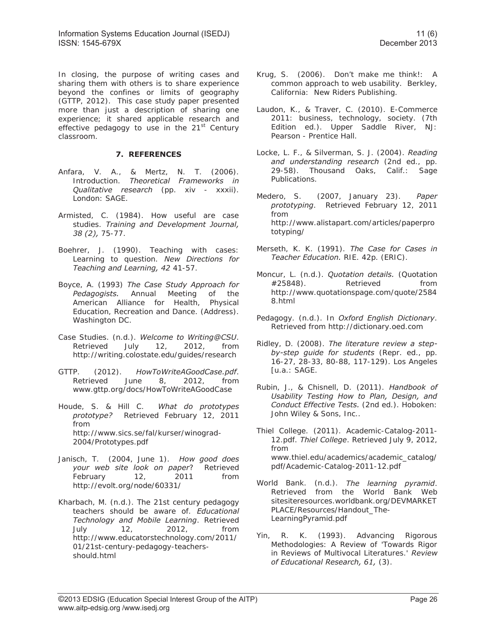In closing, the purpose of writing cases and sharing them with others is to share experience beyond the confines or limits of geography (GTTP, 2012). This case study paper presented more than just a description of sharing one experience; it shared applicable research and effective pedagogy to use in the  $21<sup>st</sup>$  Century classroom.

## **7. REFERENCES**

- Anfara, V. A., & Mertz, N. T. (2006). Introduction. *Theoretical Frameworks in Qualitative research* (pp. xiv - xxxii). London: SAGE.
- Armisted, C. (1984). How useful are case studies. *Training and Development Journal, 38 (2),* 75-77.
- Boehrer, J. (1990). Teaching with cases: Learning to question. *New Directions for Teaching and Learning, 42* 41-57.
- Boyce, A. (1993) *The Case Study Approach for Pedagogists.* Annual Meeting of the American Alliance for Health, Physical Education, Recreation and Dance. (Address). Washington DC.
- Case Studies. (n.d.). *Welcome to Writing@CSU*. Retrieved July 12, 2012, from http://writing.colostate.edu/guides/research
- GTTP. (2012). *HowToWriteAGoodCase.pdf*. Retrieved June 8, 2012, from www.gttp.org/docs/HowToWriteAGoodCase
- Houde, S. & Hill C. *What do prototypes prototype?* Retrieved February 12, 2011 from http://www.sics.se/fal/kurser/winograd-2004/Prototypes.pdf
- Janisch, T. (2004, June 1). *How good does your web site look on paper*? Retrieved February 12, 2011 from http://evolt.org/node/60331/
- Kharbach, M. (n.d.). The 21st century pedagogy teachers should be aware of. *Educational Technology and Mobile Learning*. Retrieved July 12, 2012, from http://www.educatorstechnology.com/2011/ 01/21st-century-pedagogy-teachersshould.html
- Krug, S. (2006). Don't make me think!: A common approach to web usability. Berkley, California: New Riders Publishing.
- Laudon, K., & Traver, C. (2010). E-Commerce 2011: business, technology, society. (7th Edition ed.). Upper Saddle River, NJ: Pearson - Prentice Hall.
- Locke, L. F., & Silverman, S. J. (2004). *Reading and understanding research* (2nd ed., pp. 29-58). Thousand Oaks, Calif.: Sage Publications.
- Medero, S. (2007, January 23). *Paper prototyping*. Retrieved February 12, 2011 from http://www.alistapart.com/articles/paperpro totyping/
- Merseth, K. K. (1991). *The Case for Cases in Teacher Education.* RIE. 42p. (ERIC).
- Moncur, L. (n.d.). *Quotation details.* (Quotation #25848). Retrieved from http://www.quotationspage.com/quote/2584 8.html
- Pedagogy. (n.d.). In *Oxford English Dictionary*. Retrieved from http://dictionary.oed.com
- Ridley, D. (2008). *The literature review a stepby-step guide for students* (Repr. ed., pp. 16-27, 28-33, 80-88, 117-129). Los Angeles [u.a.: SAGE.
- Rubin, J., & Chisnell, D. (2011). *Handbook of Usability Testing How to Plan, Design, and Conduct Effective Tests.* (2nd ed.). Hoboken: John Wiley & Sons, Inc..
- Thiel College. (2011). Academic-Catalog-2011- 12.pdf. *Thiel College*. Retrieved July 9, 2012, from www.thiel.edu/academics/academic\_catalog/ pdf/Academic-Catalog-2011-12.pdf
- World Bank. (n.d.). *The learning pyramid*. Retrieved from the World Bank Web sitesiteresources.worldbank.org/DEVMARKET PLACE/Resources/Handout\_The-LearningPyramid.pdf
- Yin, R. K. (1993). Advancing Rigorous Methodologies: A Review of 'Towards Rigor in Reviews of Multivocal Literatures.' *Review of Educational Research, 61,* (3).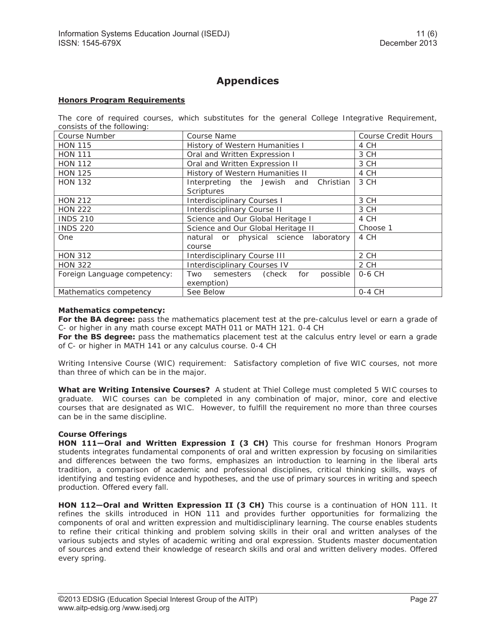# **Appendices**

#### **Honors Program Requirements**

The core of required courses, which substitutes for the general College Integrative Requirement, consists of the following:

| Course Number                | Course Name                                | <b>Course Credit Hours</b> |  |
|------------------------------|--------------------------------------------|----------------------------|--|
| <b>HON 115</b>               | History of Western Humanities I            | 4 CH                       |  |
| <b>HON 111</b>               | Oral and Written Expression I              | 3 CH                       |  |
| <b>HON 112</b>               | Oral and Written Expression II             | 3 CH                       |  |
| <b>HON 125</b>               | History of Western Humanities II           | 4 CH                       |  |
| <b>HON 132</b>               | Interpreting the Jewish and Christian      | 3 CH                       |  |
|                              | Scriptures                                 |                            |  |
| <b>HON 212</b>               | <b>Interdisciplinary Courses I</b>         | 3 CH                       |  |
| <b>HON 222</b>               | <b>Interdisciplinary Course II</b>         | 3 CH                       |  |
| <b>INDS 210</b>              | Science and Our Global Heritage I          | 4 CH                       |  |
| <b>INDS 220</b>              | Science and Our Global Heritage II         | Choose 1                   |  |
| <b>One</b>                   | natural or physical science laboratory     | 4 CH                       |  |
|                              | course                                     |                            |  |
| <b>HON 312</b>               | <b>Interdisciplinary Course III</b>        | 2 CH                       |  |
| <b>HON 322</b>               | <b>Interdisciplinary Courses IV</b>        | 2 CH                       |  |
| Foreign Language competency: | possible<br>semesters (check<br>for<br>Two | 0-6 CH                     |  |
| exemption)                   |                                            |                            |  |
| Mathematics competency       | See Below                                  | $0-4$ CH                   |  |

#### **Mathematics competency:**

For the BA degree: pass the mathematics placement test at the pre-calculus level or earn a grade of C- or higher in any math course except MATH 011 or MATH 121. 0-4 CH

**For the BS degree:** pass the mathematics placement test at the calculus entry level or earn a grade of C- or higher in MATH 141 or any calculus course. 0-4 CH

Writing Intensive Course (WIC) requirement: Satisfactory completion of five WIC courses, not more than three of which can be in the major.

**What are Writing Intensive Courses?** A student at Thiel College must completed 5 WIC courses to graduate. WIC courses can be completed in any combination of major, minor, core and elective courses that are designated as WIC. However, to fulfill the requirement no more than three courses can be in the same discipline.

#### **Course Offerings**

**HON 111—Oral and Written Expression I (3 CH)** This course for freshman Honors Program students integrates fundamental components of oral and written expression by focusing on similarities and differences between the two forms, emphasizes an introduction to learning in the liberal arts tradition, a comparison of academic and professional disciplines, critical thinking skills, ways of identifying and testing evidence and hypotheses, and the use of primary sources in writing and speech production. Offered every fall.

HON 112-Oral and Written Expression II (3 CH) This course is a continuation of HON 111. It refines the skills introduced in HON 111 and provides further opportunities for formalizing the components of oral and written expression and multidisciplinary learning. The course enables students to refine their critical thinking and problem solving skills in their oral and written analyses of the various subjects and styles of academic writing and oral expression. Students master documentation of sources and extend their knowledge of research skills and oral and written delivery modes. Offered every spring.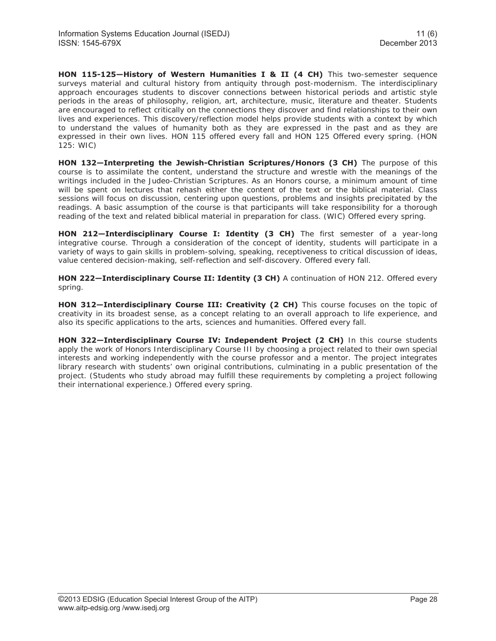**HON 115-125—History of Western Humanities I & II (4 CH)** This two-semester sequence surveys material and cultural history from antiquity through post-modernism. The interdisciplinary approach encourages students to discover connections between historical periods and artistic style periods in the areas of philosophy, religion, art, architecture, music, literature and theater. Students are encouraged to reflect critically on the connections they discover and find relationships to their own lives and experiences. This discovery/reflection model helps provide students with a context by which to understand the values of humanity both as they are expressed in the past and as they are expressed in their own lives. HON 115 offered every fall and HON 125 Offered every spring. (HON 125: WIC)

**HON 132—Interpreting the Jewish-Christian Scriptures/Honors (3 CH)** The purpose of this course is to assimilate the content, understand the structure and wrestle with the meanings of the writings included in the Judeo-Christian Scriptures. As an Honors course, a minimum amount of time will be spent on lectures that rehash either the content of the text or the biblical material. Class sessions will focus on discussion, centering upon questions, problems and insights precipitated by the readings. A basic assumption of the course is that participants will take responsibility for a thorough reading of the text and related biblical material in preparation for class. (WIC) Offered every spring.

HON 212-Interdisciplinary Course I: Identity (3 CH) The first semester of a year-long integrative course. Through a consideration of the concept of identity, students will participate in a variety of ways to gain skills in problem-solving, speaking, receptiveness to critical discussion of ideas, value centered decision-making, self-reflection and self-discovery. Offered every fall.

HON 222-Interdisciplinary Course II: Identity (3 CH) A continuation of HON 212. Offered every spring.

**HON 312—Interdisciplinary Course III: Creativity (2 CH)** This course focuses on the topic of creativity in its broadest sense, as a concept relating to an overall approach to life experience, and also its specific applications to the arts, sciences and humanities. Offered every fall.

**HON 322—Interdisciplinary Course IV: Independent Project (2 CH)** In this course students apply the work of Honors Interdisciplinary Course III by choosing a project related to their own special interests and working independently with the course professor and a mentor. The project integrates library research with students' own original contributions, culminating in a public presentation of the project. (Students who study abroad may fulfill these requirements by completing a project following their international experience.) Offered every spring.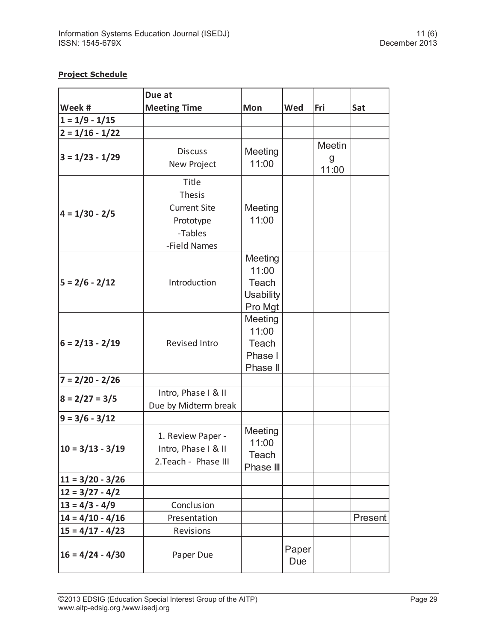## **Project Schedule**

|                    | Due at                                                                         |                                                          |              |                      |         |
|--------------------|--------------------------------------------------------------------------------|----------------------------------------------------------|--------------|----------------------|---------|
| Week #             | <b>Meeting Time</b>                                                            | Mon                                                      | Wed          | Fri                  | Sat     |
| $1 = 1/9 - 1/15$   |                                                                                |                                                          |              |                      |         |
| $2 = 1/16 - 1/22$  |                                                                                |                                                          |              |                      |         |
| $3 = 1/23 - 1/29$  | <b>Discuss</b><br>New Project                                                  | Meeting<br>11:00                                         |              | Meetin<br>g<br>11:00 |         |
| $4 = 1/30 - 2/5$   | Title<br>Thesis<br><b>Current Site</b><br>Prototype<br>-Tables<br>-Field Names | Meeting<br>11:00                                         |              |                      |         |
| $5 = 2/6 - 2/12$   | Introduction                                                                   | Meeting<br>11:00<br>Teach<br><b>Usability</b><br>Pro Mgt |              |                      |         |
| $6 = 2/13 - 2/19$  | Revised Intro                                                                  | Meeting<br>11:00<br>Teach<br>Phase I<br>Phase II         |              |                      |         |
| $7 = 2/20 - 2/26$  |                                                                                |                                                          |              |                      |         |
| $8 = 2/27 = 3/5$   | Intro, Phase I & II<br>Due by Midterm break                                    |                                                          |              |                      |         |
| $9 = 3/6 - 3/12$   |                                                                                |                                                          |              |                      |         |
| $10 = 3/13 - 3/19$ | 1. Review Paper -<br>Intro, Phase I & II<br>2. Teach - Phase III               | Meeting<br>11:00<br>Teach<br>Phase III                   |              |                      |         |
| $11 = 3/20 - 3/26$ |                                                                                |                                                          |              |                      |         |
| $12 = 3/27 - 4/2$  |                                                                                |                                                          |              |                      |         |
| $13 = 4/3 - 4/9$   | Conclusion                                                                     |                                                          |              |                      |         |
| $14 = 4/10 - 4/16$ | Presentation                                                                   |                                                          |              |                      | Present |
| $15 = 4/17 - 4/23$ | Revisions                                                                      |                                                          |              |                      |         |
| $16 = 4/24 - 4/30$ | Paper Due                                                                      |                                                          | Paper<br>Due |                      |         |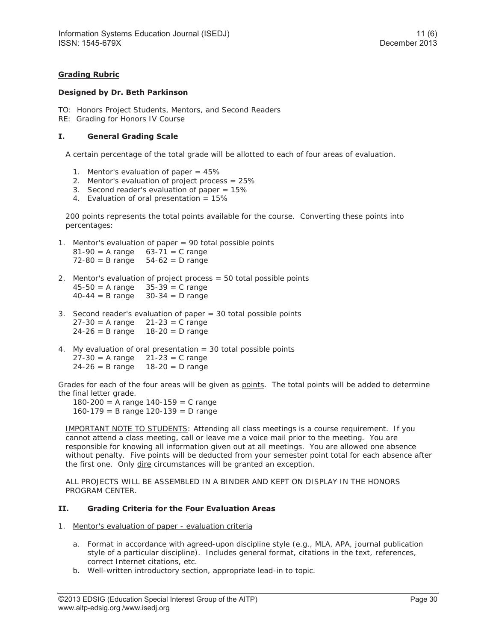## **Grading Rubric**

#### **Designed by Dr. Beth Parkinson**

- TO: Honors Project Students, Mentors, and Second Readers
- RE: Grading for Honors IV Course

#### **I. General Grading Scale**

A certain percentage of the total grade will be allotted to each of four areas of evaluation.

- 1. Mentor's evaluation of paper = 45%
- 2. Mentor's evaluation of project process = 25%
- 3. Second reader's evaluation of paper = 15%
- 4. Evaluation of oral presentation = 15%

200 points represents the total points available for the course. Converting these points into percentages:

- 1. Mentor's evaluation of paper = 90 total possible points  $81 - 90 = A$  range  $63 - 71 = C$  range  $72-80 = B$  range  $54-62 = D$  range
- 2. Mentor's evaluation of project process = 50 total possible points 45-50 = A range 35-39 = C range  $40-44 = B$  range  $30-34 = D$  range
- 3. Second reader's evaluation of paper = 30 total possible points  $27 - 30 = A$  range  $21 - 23 = C$  range  $24 - 26 = B$  range  $18 - 20 = D$  range
- 4. My evaluation of oral presentation = 30 total possible points  $27 - 30 = A$  range  $21 - 23 = C$  range  $24 - 26 = B$  range 18-20 = D range

Grades for each of the four areas will be given as points. The total points will be added to determine the final letter grade.

180-200 = A range 140-159 = C range 160-179 = B range 120-139 = D range

IMPORTANT NOTE TO STUDENTS: Attending all class meetings is a course requirement. If you cannot attend a class meeting, call or leave me a voice mail prior to the meeting. You are responsible for knowing all information given out at all meetings. You are allowed one absence without penalty. Five points will be deducted from your semester point total for each absence after the first one. Only dire circumstances will be granted an exception.

ALL PROJECTS WILL BE ASSEMBLED IN A BINDER AND KEPT ON DISPLAY IN THE HONORS PROGRAM CENTER.

#### **II. Grading Criteria for the Four Evaluation Areas**

- 1. Mentor's evaluation of paper evaluation criteria
	- a. Format in accordance with agreed-upon discipline style (e.g., MLA, APA, journal publication style of a particular discipline). Includes general format, citations in the text, references, correct Internet citations, etc.
	- b. Well-written introductory section, appropriate lead-in to topic.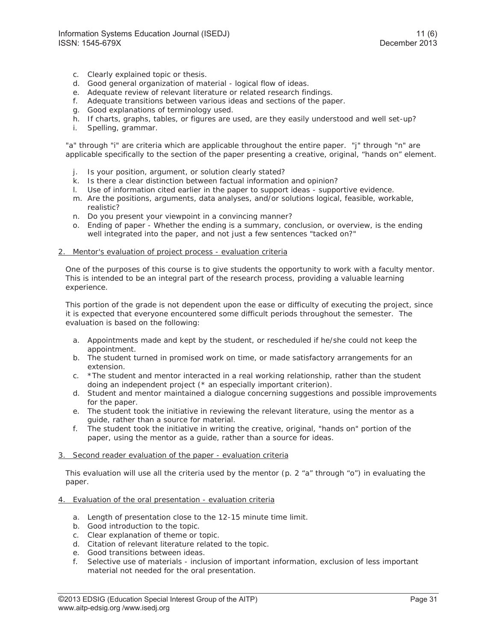- c. Clearly explained topic or thesis.
- d. Good general organization of material logical flow of ideas.
- e. Adequate review of relevant literature or related research findings.
- f. Adequate transitions between various ideas and sections of the paper.
- g. Good explanations of terminology used.
- h. If charts, graphs, tables, or figures are used, are they easily understood and well set-up?
- i. Spelling, grammar.

"a" through "i" are criteria which are applicable throughout the entire paper. "j" through "n" are applicable specifically to the section of the paper presenting a creative, original, "hands on" element.

- j. Is your position, argument, or solution clearly stated?
- k. Is there a clear distinction between factual information and opinion?
- l. Use of information cited earlier in the paper to support ideas supportive evidence.
- m. Are the positions, arguments, data analyses, and/or solutions logical, feasible, workable, realistic?
- n. Do you present your viewpoint in a convincing manner?
- o. Ending of paper Whether the ending is a summary, conclusion, or overview, is the ending well integrated into the paper, and not just a few sentences "tacked on?"

#### 2. Mentor's evaluation of project process - evaluation criteria

One of the purposes of this course is to give students the opportunity to work with a faculty mentor. This is intended to be an integral part of the research process, providing a valuable learning experience.

This portion of the grade is not dependent upon the ease or difficulty of executing the project, since it is expected that everyone encountered some difficult periods throughout the semester. The evaluation is based on the following:

- a. Appointments made and kept by the student, or rescheduled if he/she could not keep the appointment.
- b. The student turned in promised work on time, or made satisfactory arrangements for an extension.
- c. \* The student and mentor interacted in a real working relationship, rather than the student doing an independent project (\* an especially important criterion).
- d. Student and mentor maintained a dialogue concerning suggestions and possible improvements for the paper.
- e. The student took the initiative in reviewing the relevant literature, using the mentor as a guide, rather than a source for material.
- f. The student took the initiative in writing the creative, original, "hands on" portion of the paper, using the mentor as a guide, rather than a source for ideas.

#### 3. Second reader evaluation of the paper - evaluation criteria

This evaluation will use all the criteria used by the mentor (p.  $2 \pi a \pi$  through "o") in evaluating the paper.

#### 4. Evaluation of the oral presentation - evaluation criteria

- a. Length of presentation close to the 12-15 minute time limit.
- b. Good introduction to the topic.
- c. Clear explanation of theme or topic.
- d. Citation of relevant literature related to the topic.
- e. Good transitions between ideas.
- f. Selective use of materials inclusion of important information, exclusion of less important material not needed for the oral presentation.